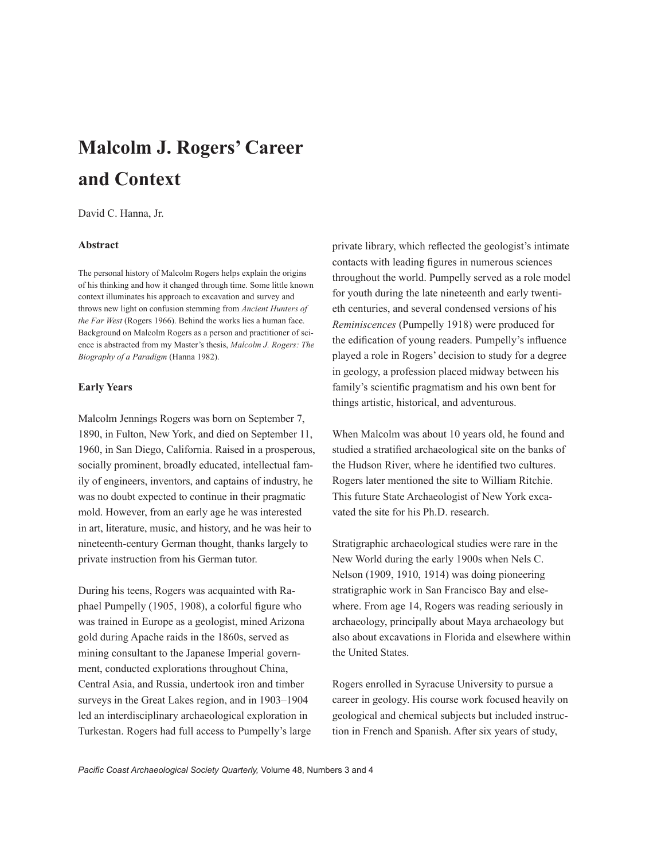# **Malcolm J. Rogers' Career and Context**

David C. Hanna, Jr.

# **Abstract**

The personal history of Malcolm Rogers helps explain the origins of his thinking and how it changed through time. Some little known context illuminates his approach to excavation and survey and throws new light on confusion stemming from *Ancient Hunters of the Far West* (Rogers 1966). Behind the works lies a human face. Background on Malcolm Rogers as a person and practitioner of science is abstracted from my Master's thesis, *Malcolm J. Rogers: The Biography of a Paradigm* (Hanna 1982).

#### **Early Years**

Malcolm Jennings Rogers was born on September 7, 1890, in Fulton, New York, and died on September 11, 1960, in San Diego, California. Raised in a prosperous, socially prominent, broadly educated, intellectual family of engineers, inventors, and captains of industry, he was no doubt expected to continue in their pragmatic mold. However, from an early age he was interested in art, literature, music, and history, and he was heir to nineteenth-century German thought, thanks largely to private instruction from his German tutor.

During his teens, Rogers was acquainted with Raphael Pumpelly (1905, 1908), a colorful figure who was trained in Europe as a geologist, mined Arizona gold during Apache raids in the 1860s, served as mining consultant to the Japanese Imperial government, conducted explorations throughout China, Central Asia, and Russia, undertook iron and timber surveys in the Great Lakes region, and in 1903–1904 led an interdisciplinary archaeological exploration in Turkestan. Rogers had full access to Pumpelly's large private library, which reflected the geologist's intimate contacts with leading figures in numerous sciences throughout the world. Pumpelly served as a role model for youth during the late nineteenth and early twentieth centuries, and several condensed versions of his *Reminiscences* (Pumpelly 1918) were produced for the edification of young readers. Pumpelly's influence played a role in Rogers' decision to study for a degree in geology, a profession placed midway between his family's scientific pragmatism and his own bent for things artistic, historical, and adventurous.

When Malcolm was about 10 years old, he found and studied a stratified archaeological site on the banks of the Hudson River, where he identified two cultures. Rogers later mentioned the site to William Ritchie. This future State Archaeologist of New York excavated the site for his Ph.D. research.

Stratigraphic archaeological studies were rare in the New World during the early 1900s when Nels C. Nelson (1909, 1910, 1914) was doing pioneering stratigraphic work in San Francisco Bay and elsewhere. From age 14, Rogers was reading seriously in archaeology, principally about Maya archaeology but also about excavations in Florida and elsewhere within the United States.

Rogers enrolled in Syracuse University to pursue a career in geology. His course work focused heavily on geological and chemical subjects but included instruction in French and Spanish. After six years of study,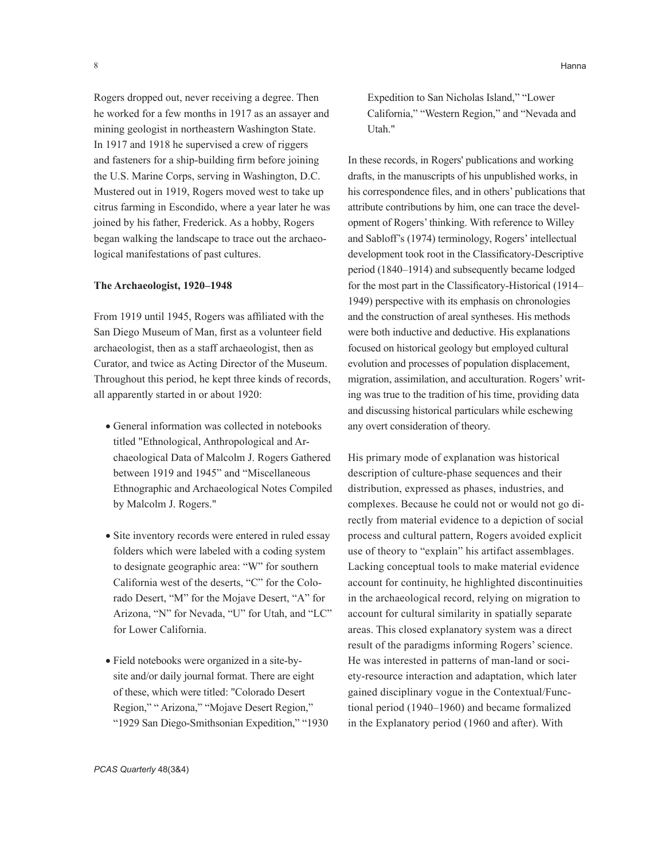Rogers dropped out, never receiving a degree. Then he worked for a few months in 1917 as an assayer and mining geologist in northeastern Washington State. In 1917 and 1918 he supervised a crew of riggers and fasteners for a ship-building firm before joining the U.S. Marine Corps, serving in Washington, D.C. Mustered out in 1919, Rogers moved west to take up citrus farming in Escondido, where a year later he was joined by his father, Frederick. As a hobby, Rogers began walking the landscape to trace out the archaeological manifestations of past cultures.

#### **The Archaeologist, 1920–1948**

From 1919 until 1945, Rogers was affiliated with the San Diego Museum of Man, first as a volunteer field archaeologist, then as a staff archaeologist, then as Curator, and twice as Acting Director of the Museum. Throughout this period, he kept three kinds of records, all apparently started in or about 1920:

- General information was collected in notebooks titled "Ethnological, Anthropological and Archaeological Data of Malcolm J. Rogers Gathered between 1919 and 1945" and "Miscellaneous Ethnographic and Archaeological Notes Compiled by Malcolm J. Rogers."
- Site inventory records were entered in ruled essay folders which were labeled with a coding system to designate geographic area: "W" for southern California west of the deserts, "C" for the Colorado Desert, "M" for the Mojave Desert, "A" for Arizona, "N" for Nevada, "U" for Utah, and "LC" for Lower California.
- Field notebooks were organized in a site-bysite and/or daily journal format. There are eight of these, which were titled: "Colorado Desert Region," " Arizona," "Mojave Desert Region," "1929 San Diego-Smithsonian Expedition," "1930

Expedition to San Nicholas Island," "Lower California," "Western Region," and "Nevada and Utah."

In these records, in Rogers' publications and working drafts, in the manuscripts of his unpublished works, in his correspondence files, and in others' publications that attribute contributions by him, one can trace the development of Rogers' thinking. With reference to Willey and Sabloff's (1974) terminology, Rogers' intellectual development took root in the Classificatory-Descriptive period (1840–1914) and subsequently became lodged for the most part in the Classificatory-Historical (1914– 1949) perspective with its emphasis on chronologies and the construction of areal syntheses. His methods were both inductive and deductive. His explanations focused on historical geology but employed cultural evolution and processes of population displacement, migration, assimilation, and acculturation. Rogers' writing was true to the tradition of his time, providing data and discussing historical particulars while eschewing any overt consideration of theory.

His primary mode of explanation was historical description of culture-phase sequences and their distribution, expressed as phases, industries, and complexes. Because he could not or would not go directly from material evidence to a depiction of social process and cultural pattern, Rogers avoided explicit use of theory to "explain" his artifact assemblages. Lacking conceptual tools to make material evidence account for continuity, he highlighted discontinuities in the archaeological record, relying on migration to account for cultural similarity in spatially separate areas. This closed explanatory system was a direct result of the paradigms informing Rogers' science. He was interested in patterns of man-land or society-resource interaction and adaptation, which later gained disciplinary vogue in the Contextual/Functional period (1940–1960) and became formalized in the Explanatory period (1960 and after). With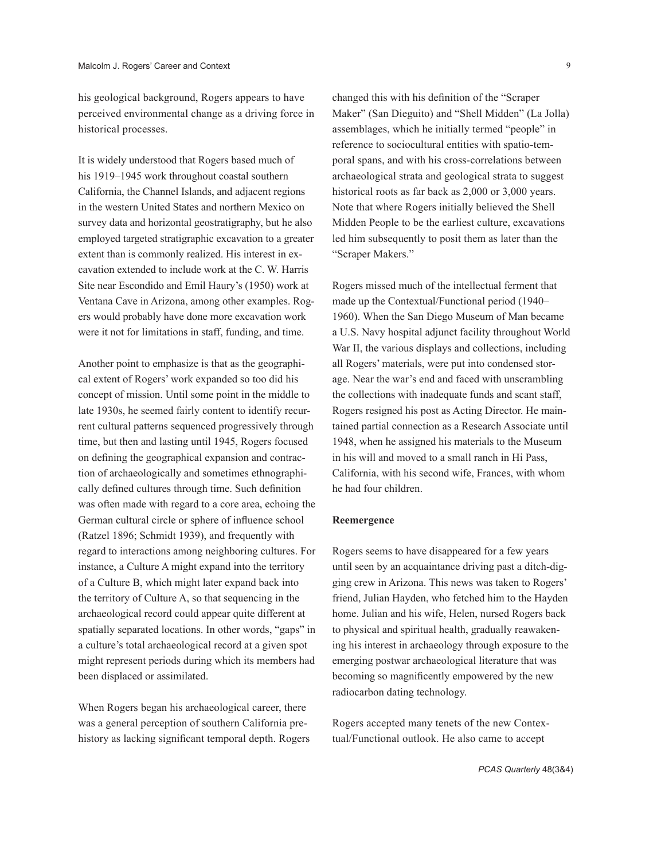his geological background, Rogers appears to have perceived environmental change as a driving force in historical processes.

It is widely understood that Rogers based much of his 1919–1945 work throughout coastal southern California, the Channel Islands, and adjacent regions in the western United States and northern Mexico on survey data and horizontal geostratigraphy, but he also employed targeted stratigraphic excavation to a greater extent than is commonly realized. His interest in excavation extended to include work at the C. W. Harris Site near Escondido and Emil Haury's (1950) work at Ventana Cave in Arizona, among other examples. Rogers would probably have done more excavation work were it not for limitations in staff, funding, and time.

Another point to emphasize is that as the geographical extent of Rogers' work expanded so too did his concept of mission. Until some point in the middle to late 1930s, he seemed fairly content to identify recurrent cultural patterns sequenced progressively through time, but then and lasting until 1945, Rogers focused on defining the geographical expansion and contraction of archaeologically and sometimes ethnographically defined cultures through time. Such definition was often made with regard to a core area, echoing the German cultural circle or sphere of influence school (Ratzel 1896; Schmidt 1939), and frequently with regard to interactions among neighboring cultures. For instance, a Culture A might expand into the territory of a Culture B, which might later expand back into the territory of Culture A, so that sequencing in the archaeological record could appear quite different at spatially separated locations. In other words, "gaps" in a culture's total archaeological record at a given spot might represent periods during which its members had been displaced or assimilated.

When Rogers began his archaeological career, there was a general perception of southern California prehistory as lacking significant temporal depth. Rogers changed this with his definition of the "Scraper Maker" (San Dieguito) and "Shell Midden" (La Jolla) assemblages, which he initially termed "people" in reference to sociocultural entities with spatio-temporal spans, and with his cross-correlations between archaeological strata and geological strata to suggest historical roots as far back as 2,000 or 3,000 years. Note that where Rogers initially believed the Shell Midden People to be the earliest culture, excavations led him subsequently to posit them as later than the "Scraper Makers."

Rogers missed much of the intellectual ferment that made up the Contextual/Functional period (1940– 1960). When the San Diego Museum of Man became a U.S. Navy hospital adjunct facility throughout World War II, the various displays and collections, including all Rogers' materials, were put into condensed storage. Near the war's end and faced with unscrambling the collections with inadequate funds and scant staff, Rogers resigned his post as Acting Director. He maintained partial connection as a Research Associate until 1948, when he assigned his materials to the Museum in his will and moved to a small ranch in Hi Pass, California, with his second wife, Frances, with whom he had four children.

## **Reemergence**

Rogers seems to have disappeared for a few years until seen by an acquaintance driving past a ditch-digging crew in Arizona. This news was taken to Rogers' friend, Julian Hayden, who fetched him to the Hayden home. Julian and his wife, Helen, nursed Rogers back to physical and spiritual health, gradually reawakening his interest in archaeology through exposure to the emerging postwar archaeological literature that was becoming so magnificently empowered by the new radiocarbon dating technology.

Rogers accepted many tenets of the new Contextual/Functional outlook. He also came to accept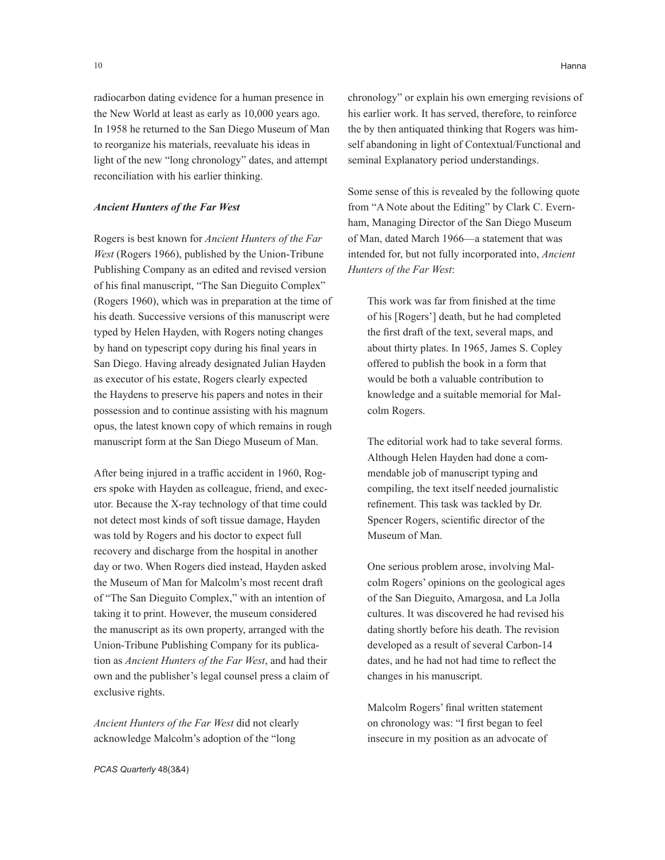radiocarbon dating evidence for a human presence in the New World at least as early as 10,000 years ago. In 1958 he returned to the San Diego Museum of Man to reorganize his materials, reevaluate his ideas in light of the new "long chronology" dates, and attempt reconciliation with his earlier thinking.

### *Ancient Hunters of the Far West*

Rogers is best known for *Ancient Hunters of the Far West* (Rogers 1966), published by the Union-Tribune Publishing Company as an edited and revised version of his final manuscript, "The San Dieguito Complex" (Rogers 1960), which was in preparation at the time of his death. Successive versions of this manuscript were typed by Helen Hayden, with Rogers noting changes by hand on typescript copy during his final years in San Diego. Having already designated Julian Hayden as executor of his estate, Rogers clearly expected the Haydens to preserve his papers and notes in their possession and to continue assisting with his magnum opus, the latest known copy of which remains in rough manuscript form at the San Diego Museum of Man.

After being injured in a traffic accident in 1960, Rogers spoke with Hayden as colleague, friend, and executor. Because the X-ray technology of that time could not detect most kinds of soft tissue damage, Hayden was told by Rogers and his doctor to expect full recovery and discharge from the hospital in another day or two. When Rogers died instead, Hayden asked the Museum of Man for Malcolm's most recent draft of "The San Dieguito Complex," with an intention of taking it to print. However, the museum considered the manuscript as its own property, arranged with the Union-Tribune Publishing Company for its publication as *Ancient Hunters of the Far West*, and had their own and the publisher's legal counsel press a claim of exclusive rights.

*Ancient Hunters of the Far West* did not clearly acknowledge Malcolm's adoption of the "long

*PCAS Quarterly* 48(3&4)

chronology" or explain his own emerging revisions of his earlier work. It has served, therefore, to reinforce the by then antiquated thinking that Rogers was himself abandoning in light of Contextual/Functional and seminal Explanatory period understandings.

Some sense of this is revealed by the following quote from "A Note about the Editing" by Clark C. Evernham, Managing Director of the San Diego Museum of Man, dated March 1966—a statement that was intended for, but not fully incorporated into, *Ancient Hunters of the Far West*:

This work was far from finished at the time of his [Rogers'] death, but he had completed the first draft of the text, several maps, and about thirty plates. In 1965, James S. Copley offered to publish the book in a form that would be both a valuable contribution to knowledge and a suitable memorial for Malcolm Rogers.

The editorial work had to take several forms. Although Helen Hayden had done a commendable job of manuscript typing and compiling, the text itself needed journalistic refinement. This task was tackled by Dr. Spencer Rogers, scientific director of the Museum of Man.

One serious problem arose, involving Malcolm Rogers' opinions on the geological ages of the San Dieguito, Amargosa, and La Jolla cultures. It was discovered he had revised his dating shortly before his death. The revision developed as a result of several Carbon-14 dates, and he had not had time to reflect the changes in his manuscript.

Malcolm Rogers' final written statement on chronology was: "I first began to feel insecure in my position as an advocate of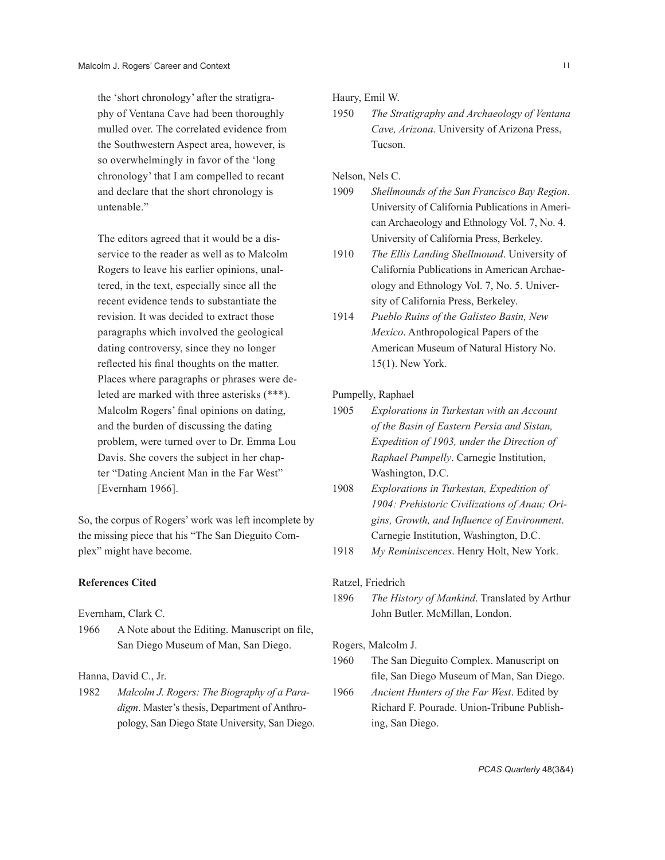the 'short chronology' after the stratigraphy of Ventana Cave had been thoroughly mulled over. The correlated evidence from the Southwestern Aspect area, however, is so overwhelmingly in favor of the 'long chronology' that I am compelled to recant and declare that the short chronology is untenable<sup>"</sup>

The editors agreed that it would be a disservice to the reader as well as to Malcolm Rogers to leave his earlier opinions, unaltered, in the text, especially since all the recent evidence tends to substantiate the revision. It was decided to extract those paragraphs which involved the geological dating controversy, since they no longer reflected his final thoughts on the matter. Places where paragraphs or phrases were deleted are marked with three asterisks (\*\*\*). Malcolm Rogers' final opinions on dating, and the burden of discussing the dating problem, were turned over to Dr. Emma Lou Davis. She covers the subject in her chapter "Dating Ancient Man in the Far West" [Evernham 1966].

So, the corpus of Rogers' work was left incomplete by the missing piece that his "The San Dieguito Complex" might have become.

### **References Cited**

Evernham, Clark C.

1966 A Note about the Editing. Manuscript on file, San Diego Museum of Man, San Diego.

Hanna, David C., Jr.

1982 *Malcolm J. Rogers: The Biography of a Paradigm*. Master's thesis, Department of Anthropology, San Diego State University, San Diego. Haury, Emil W.

1950 *The Stratigraphy and Archaeology of Ventana Cave, Arizona*. University of Arizona Press, Tucson.

Nelson, Nels C.

- 1909 *Shellmounds of the San Francisco Bay Region*. University of California Publications in American Archaeology and Ethnology Vol. 7, No. 4. University of California Press, Berkeley.
- 1910 *The Ellis Landing Shellmound*. University of California Publications in American Archaeology and Ethnology Vol. 7, No. 5. University of California Press, Berkeley.
- 1914 *Pueblo Ruins of the Galisteo Basin, New Mexico*. Anthropological Papers of the American Museum of Natural History No. 15(1). New York.

Pumpelly, Raphael

- 1905 *Explorations in Turkestan with an Account of the Basin of Eastern Persia and Sistan, Expedition of 1903, under the Direction of Raphael Pumpelly*. Carnegie Institution, Washington, D.C.
- 1908 *Explorations in Turkestan, Expedition of 1904: Prehistoric Civilizations of Anau; Origins, Growth, and Influence of Environment*. Carnegie Institution, Washington, D.C.
- 1918 *My Reminiscences*. Henry Holt, New York.

Ratzel, Friedrich

1896 *The History of Mankind*. Translated by Arthur John Butler. McMillan, London.

#### Rogers, Malcolm J.

- 1960 The San Dieguito Complex. Manuscript on file, San Diego Museum of Man, San Diego.
- 1966 *Ancient Hunters of the Far West*. Edited by Richard F. Pourade. Union-Tribune Publishing, San Diego.